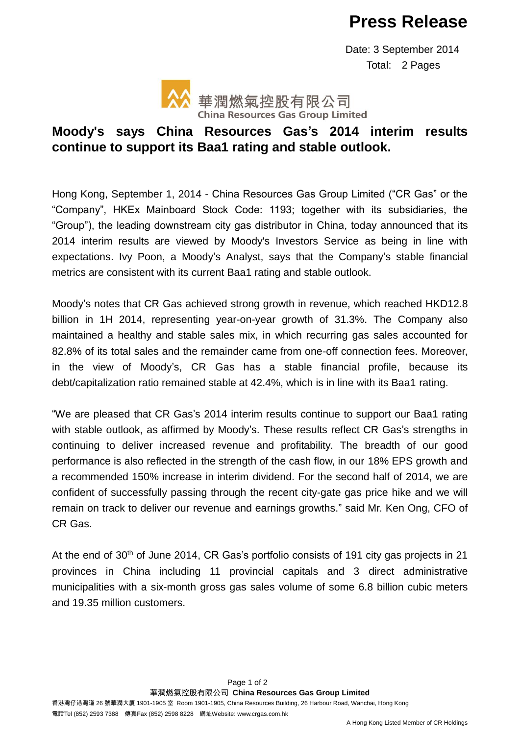## **Press Release**

 Date: 3 September 2014 Total: 2 Pages



## **Moody's says China Resources Gas's 2014 interim results continue to support its Baa1 rating and stable outlook.**

Hong Kong, September 1, 2014 - China Resources Gas Group Limited ("CR Gas" or the "Company", HKEx Mainboard Stock Code: 1193; together with its subsidiaries, the "Group"), the leading downstream city gas distributor in China, today announced that its 2014 interim results are viewed by Moody's Investors Service as being in line with expectations. Ivy Poon, a Moody's Analyst, says that the Company's stable financial metrics are consistent with its current Baa1 rating and stable outlook.

Moody's notes that CR Gas achieved strong growth in revenue, which reached HKD12.8 billion in 1H 2014, representing year-on-year growth of 31.3%. The Company also maintained a healthy and stable sales mix, in which recurring gas sales accounted for 82.8% of its total sales and the remainder came from one-off connection fees. Moreover, in the view of Moody's, CR Gas has a stable financial profile, because its debt/capitalization ratio remained stable at 42.4%, which is in line with its Baa1 rating.

"We are pleased that CR Gas's 2014 interim results continue to support our Baa1 rating with stable outlook, as affirmed by Moody's. These results reflect CR Gas's strengths in continuing to deliver increased revenue and profitability. The breadth of our good performance is also reflected in the strength of the cash flow, in our 18% EPS growth and a recommended 150% increase in interim dividend. For the second half of 2014, we are confident of successfully passing through the recent city-gate gas price hike and we will remain on track to deliver our revenue and earnings growths." said Mr. Ken Ong, CFO of CR Gas.

At the end of 30<sup>th</sup> of June 2014, CR Gas's portfolio consists of 191 city gas projects in 21 provinces in China including 11 provincial capitals and 3 direct administrative municipalities with a six-month gross gas sales volume of some 6.8 billion cubic meters and 19.35 million customers.